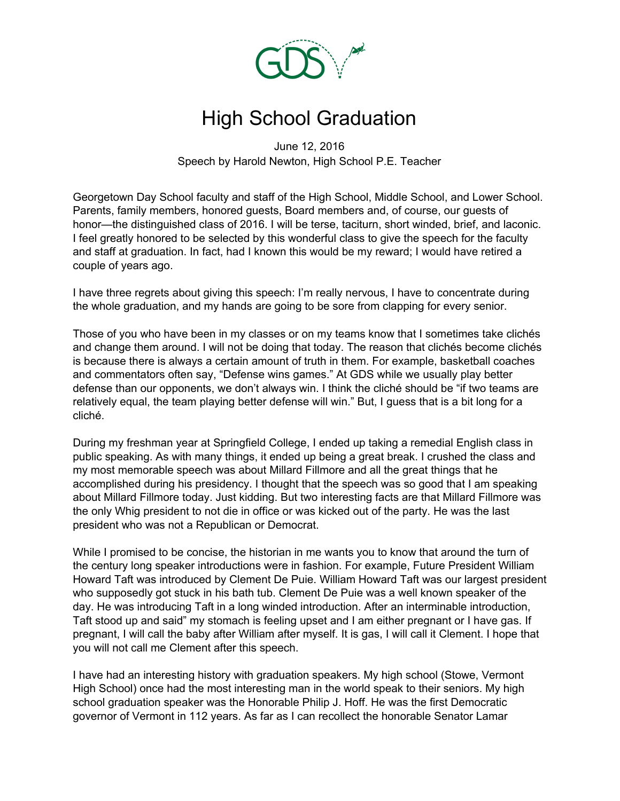

## High School Graduation

June 12, 2016 Speech by Harold Newton, High School P.E. Teacher

Georgetown Day School faculty and staff of the High School, Middle School, and Lower School. Parents, family members, honored guests, Board members and, of course, our guests of honor—the distinguished class of 2016. I will be terse, taciturn, short winded, brief, and laconic. I feel greatly honored to be selected by this wonderful class to give the speech for the faculty and staff at graduation. In fact, had I known this would be my reward; I would have retired a couple of years ago.

I have three regrets about giving this speech: I'm really nervous, I have to concentrate during the whole graduation, and my hands are going to be sore from clapping for every senior.

Those of you who have been in my classes or on my teams know that I sometimes take clichés and change them around. I will not be doing that today. The reason that clichés become clichés is because there is always a certain amount of truth in them. For example, basketball coaches and commentators often say, "Defense wins games." At GDS while we usually play better defense than our opponents, we don't always win. I think the cliché should be "if two teams are relatively equal, the team playing better defense will win." But, I guess that is a bit long for a cliché.

During my freshman year at Springfield College, I ended up taking a remedial English class in public speaking. As with many things, it ended up being a great break. I crushed the class and my most memorable speech was about Millard Fillmore and all the great things that he accomplished during his presidency. I thought that the speech was so good that I am speaking about Millard Fillmore today. Just kidding. But two interesting facts are that Millard Fillmore was the only Whig president to not die in office or was kicked out of the party. He was the last president who was not a Republican or Democrat.

While I promised to be concise, the historian in me wants you to know that around the turn of the century long speaker introductions were in fashion. For example, Future President William Howard Taft was introduced by Clement De Puie. William Howard Taft was our largest president who supposedly got stuck in his bath tub. Clement De Puie was a well known speaker of the day. He was introducing Taft in a long winded introduction. After an interminable introduction, Taft stood up and said" my stomach is feeling upset and I am either pregnant or I have gas. If pregnant, I will call the baby after William after myself. It is gas, I will call it Clement. I hope that you will not call me Clement after this speech.

I have had an interesting history with graduation speakers. My high school (Stowe, Vermont High School) once had the most interesting man in the world speak to their seniors. My high school graduation speaker was the Honorable Philip J. Hoff. He was the first Democratic governor of Vermont in 112 years. As far as I can recollect the honorable Senator Lamar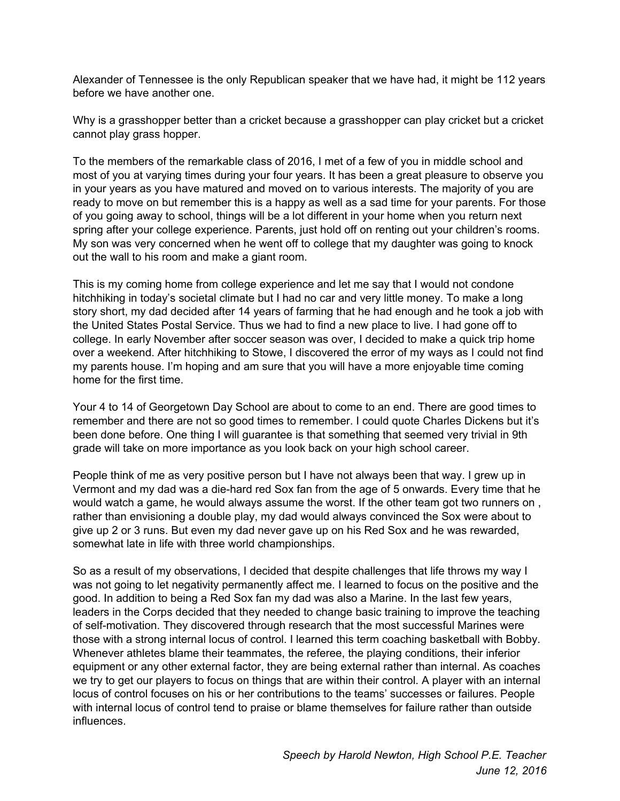Alexander of Tennessee is the only Republican speaker that we have had, it might be 112 years before we have another one.

Why is a grasshopper better than a cricket because a grasshopper can play cricket but a cricket cannot play grass hopper.

To the members of the remarkable class of 2016, I met of a few of you in middle school and most of you at varying times during your four years. It has been a great pleasure to observe you in your years as you have matured and moved on to various interests. The majority of you are ready to move on but remember this is a happy as well as a sad time for your parents. For those of you going away to school, things will be a lot different in your home when you return next spring after your college experience. Parents, just hold off on renting out your children's rooms. My son was very concerned when he went off to college that my daughter was going to knock out the wall to his room and make a giant room.

This is my coming home from college experience and let me say that I would not condone hitchhiking in today's societal climate but I had no car and very little money. To make a long story short, my dad decided after 14 years of farming that he had enough and he took a job with the United States Postal Service. Thus we had to find a new place to live. I had gone off to college. In early November after soccer season was over, I decided to make a quick trip home over a weekend. After hitchhiking to Stowe, I discovered the error of my ways as I could not find my parents house. I'm hoping and am sure that you will have a more enjoyable time coming home for the first time.

Your 4 to 14 of Georgetown Day School are about to come to an end. There are good times to remember and there are not so good times to remember. I could quote Charles Dickens but it's been done before. One thing I will guarantee is that something that seemed very trivial in 9th grade will take on more importance as you look back on your high school career.

People think of me as very positive person but I have not always been that way. I grew up in Vermont and my dad was a die-hard red Sox fan from the age of 5 onwards. Every time that he would watch a game, he would always assume the worst. If the other team got two runners on , rather than envisioning a double play, my dad would always convinced the Sox were about to give up 2 or 3 runs. But even my dad never gave up on his Red Sox and he was rewarded, somewhat late in life with three world championships.

So as a result of my observations, I decided that despite challenges that life throws my way I was not going to let negativity permanently affect me. I learned to focus on the positive and the good. In addition to being a Red Sox fan my dad was also a Marine. In the last few years, leaders in the Corps decided that they needed to change basic training to improve the teaching of self-motivation. They discovered through research that the most successful Marines were those with a strong internal locus of control. I learned this term coaching basketball with Bobby. Whenever athletes blame their teammates, the referee, the playing conditions, their inferior equipment or any other external factor, they are being external rather than internal. As coaches we try to get our players to focus on things that are within their control. A player with an internal locus of control focuses on his or her contributions to the teams' successes or failures. People with internal locus of control tend to praise or blame themselves for failure rather than outside influences.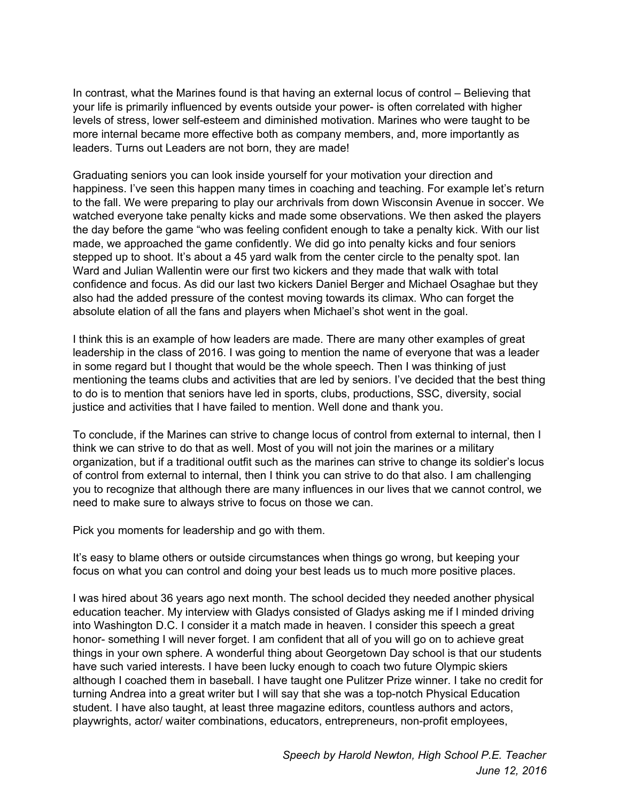In contrast, what the Marines found is that having an external locus of control – Believing that your life is primarily influenced by events outside your power- is often correlated with higher levels of stress, lower self-esteem and diminished motivation. Marines who were taught to be more internal became more effective both as company members, and, more importantly as leaders. Turns out Leaders are not born, they are made!

Graduating seniors you can look inside yourself for your motivation your direction and happiness. I've seen this happen many times in coaching and teaching. For example let's return to the fall. We were preparing to play our archrivals from down Wisconsin Avenue in soccer. We watched everyone take penalty kicks and made some observations. We then asked the players the day before the game "who was feeling confident enough to take a penalty kick. With our list made, we approached the game confidently. We did go into penalty kicks and four seniors stepped up to shoot. It's about a 45 yard walk from the center circle to the penalty spot. Ian Ward and Julian Wallentin were our first two kickers and they made that walk with total confidence and focus. As did our last two kickers Daniel Berger and Michael Osaghae but they also had the added pressure of the contest moving towards its climax. Who can forget the absolute elation of all the fans and players when Michael's shot went in the goal.

I think this is an example of how leaders are made. There are many other examples of great leadership in the class of 2016. I was going to mention the name of everyone that was a leader in some regard but I thought that would be the whole speech. Then I was thinking of just mentioning the teams clubs and activities that are led by seniors. I've decided that the best thing to do is to mention that seniors have led in sports, clubs, productions, SSC, diversity, social justice and activities that I have failed to mention. Well done and thank you.

To conclude, if the Marines can strive to change locus of control from external to internal, then I think we can strive to do that as well. Most of you will not join the marines or a military organization, but if a traditional outfit such as the marines can strive to change its soldier's locus of control from external to internal, then I think you can strive to do that also. I am challenging you to recognize that although there are many influences in our lives that we cannot control, we need to make sure to always strive to focus on those we can.

Pick you moments for leadership and go with them.

It's easy to blame others or outside circumstances when things go wrong, but keeping your focus on what you can control and doing your best leads us to much more positive places.

I was hired about 36 years ago next month. The school decided they needed another physical education teacher. My interview with Gladys consisted of Gladys asking me if I minded driving into Washington D.C. I consider it a match made in heaven. I consider this speech a great honor- something I will never forget. I am confident that all of you will go on to achieve great things in your own sphere. A wonderful thing about Georgetown Day school is that our students have such varied interests. I have been lucky enough to coach two future Olympic skiers although I coached them in baseball. I have taught one Pulitzer Prize winner. I take no credit for turning Andrea into a great writer but I will say that she was a top-notch Physical Education student. I have also taught, at least three magazine editors, countless authors and actors, playwrights, actor/ waiter combinations, educators, entrepreneurs, non-profit employees,